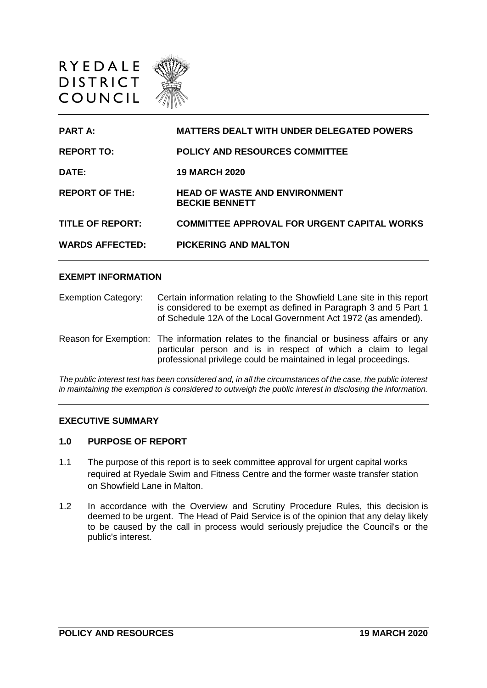

| <b>PART A</b>           | <b>MATTERS DEALT WITH UNDER DELEGATED POWERS</b>              |
|-------------------------|---------------------------------------------------------------|
| <b>REPORT TO:</b>       | <b>POLICY AND RESOURCES COMMITTEE</b>                         |
| DATE:                   | <b>19 MARCH 2020</b>                                          |
| <b>REPORT OF THE:</b>   | <b>HEAD OF WASTE AND ENVIRONMENT</b><br><b>BECKIE BENNETT</b> |
| <b>TITLE OF REPORT:</b> | <b>COMMITTEE APPROVAL FOR URGENT CAPITAL WORKS</b>            |
| <b>WARDS AFFECTED:</b>  | <b>PICKERING AND MALTON</b>                                   |

#### **EXEMPT INFORMATION**

| <b>Exemption Category:</b> | Certain information relating to the Showfield Lane site in this report<br>is considered to be exempt as defined in Paragraph 3 and 5 Part 1<br>of Schedule 12A of the Local Government Act 1972 (as amended).                  |
|----------------------------|--------------------------------------------------------------------------------------------------------------------------------------------------------------------------------------------------------------------------------|
|                            | Reason for Exemption: The information relates to the financial or business affairs or any<br>particular person and is in respect of which a claim to legal<br>professional privilege could be maintained in legal proceedings. |

*The public interest test has been considered and, in all the circumstances of the case, the public interest in maintaining the exemption is considered to outweigh the public interest in disclosing the information.*

#### **EXECUTIVE SUMMARY**

#### **1.0 PURPOSE OF REPORT**

- 1.1 The purpose of this report is to seek committee approval for urgent capital works required at Ryedale Swim and Fitness Centre and the former waste transfer station on Showfield Lane in Malton.
- 1.2 In accordance with the Overview and Scrutiny Procedure Rules, this decision is deemed to be urgent. The Head of Paid Service is of the opinion that any delay likely to be caused by the call in process would seriously prejudice the Council's or the public's interest.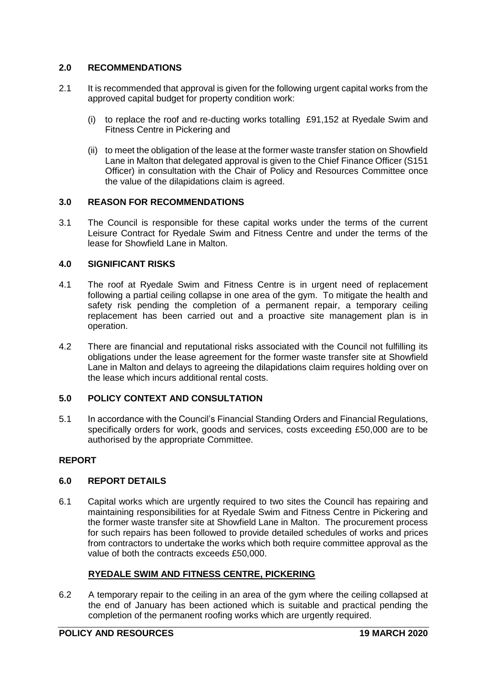# **2.0 RECOMMENDATIONS**

- 2.1 It is recommended that approval is given for the following urgent capital works from the approved capital budget for property condition work:
	- (i) to replace the roof and re-ducting works totalling £91,152 at Ryedale Swim and Fitness Centre in Pickering and
	- (ii) to meet the obligation of the lease at the former waste transfer station on Showfield Lane in Malton that delegated approval is given to the Chief Finance Officer (S151 Officer) in consultation with the Chair of Policy and Resources Committee once the value of the dilapidations claim is agreed.

#### **3.0 REASON FOR RECOMMENDATIONS**

3.1 The Council is responsible for these capital works under the terms of the current Leisure Contract for Ryedale Swim and Fitness Centre and under the terms of the lease for Showfield Lane in Malton.

#### **4.0 SIGNIFICANT RISKS**

- 4.1 The roof at Ryedale Swim and Fitness Centre is in urgent need of replacement following a partial ceiling collapse in one area of the gym. To mitigate the health and safety risk pending the completion of a permanent repair, a temporary ceiling replacement has been carried out and a proactive site management plan is in operation.
- 4.2 There are financial and reputational risks associated with the Council not fulfilling its obligations under the lease agreement for the former waste transfer site at Showfield Lane in Malton and delays to agreeing the dilapidations claim requires holding over on the lease which incurs additional rental costs.

## **5.0 POLICY CONTEXT AND CONSULTATION**

5.1 In accordance with the Council's Financial Standing Orders and Financial Regulations, specifically orders for work, goods and services, costs exceeding £50,000 are to be authorised by the appropriate Committee.

## **REPORT**

## **6.0 REPORT DETAILS**

6.1 Capital works which are urgently required to two sites the Council has repairing and maintaining responsibilities for at Ryedale Swim and Fitness Centre in Pickering and the former waste transfer site at Showfield Lane in Malton. The procurement process for such repairs has been followed to provide detailed schedules of works and prices from contractors to undertake the works which both require committee approval as the value of both the contracts exceeds £50,000.

## **RYEDALE SWIM AND FITNESS CENTRE, PICKERING**

6.2 A temporary repair to the ceiling in an area of the gym where the ceiling collapsed at the end of January has been actioned which is suitable and practical pending the completion of the permanent roofing works which are urgently required.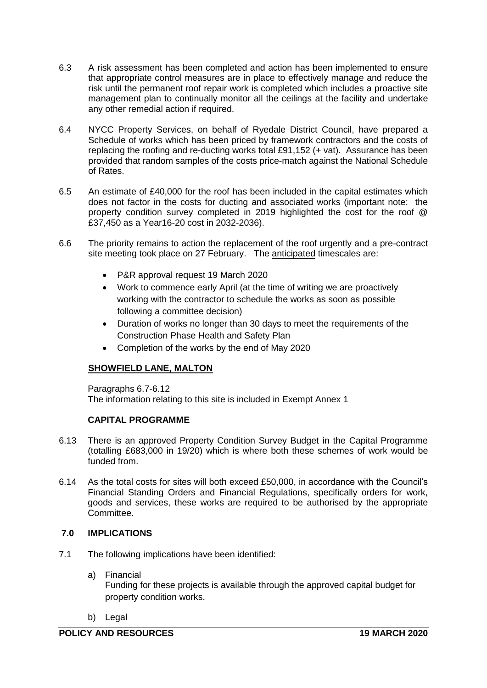- 6.3 A risk assessment has been completed and action has been implemented to ensure that appropriate control measures are in place to effectively manage and reduce the risk until the permanent roof repair work is completed which includes a proactive site management plan to continually monitor all the ceilings at the facility and undertake any other remedial action if required.
- 6.4 NYCC Property Services, on behalf of Ryedale District Council, have prepared a Schedule of works which has been priced by framework contractors and the costs of replacing the roofing and re-ducting works total £91,152 (+ vat). Assurance has been provided that random samples of the costs price-match against the National Schedule of Rates.
- 6.5 An estimate of £40,000 for the roof has been included in the capital estimates which does not factor in the costs for ducting and associated works (important note: the property condition survey completed in 2019 highlighted the cost for the roof @ £37,450 as a Year16-20 cost in 2032-2036).
- 6.6 The priority remains to action the replacement of the roof urgently and a pre-contract site meeting took place on 27 February. The anticipated timescales are:
	- P&R approval request 19 March 2020
	- Work to commence early April (at the time of writing we are proactively working with the contractor to schedule the works as soon as possible following a committee decision)
	- Duration of works no longer than 30 days to meet the requirements of the Construction Phase Health and Safety Plan
	- Completion of the works by the end of May 2020

# **SHOWFIELD LANE, MALTON**

Paragraphs 6.7-6.12 The information relating to this site is included in Exempt Annex 1

## **CAPITAL PROGRAMME**

- 6.13 There is an approved Property Condition Survey Budget in the Capital Programme (totalling £683,000 in 19/20) which is where both these schemes of work would be funded from.
- 6.14 As the total costs for sites will both exceed £50,000, in accordance with the Council's Financial Standing Orders and Financial Regulations, specifically orders for work, goods and services, these works are required to be authorised by the appropriate Committee.

## **7.0 IMPLICATIONS**

- 7.1 The following implications have been identified:
	- a) Financial Funding for these projects is available through the approved capital budget for property condition works.
	- b) Legal